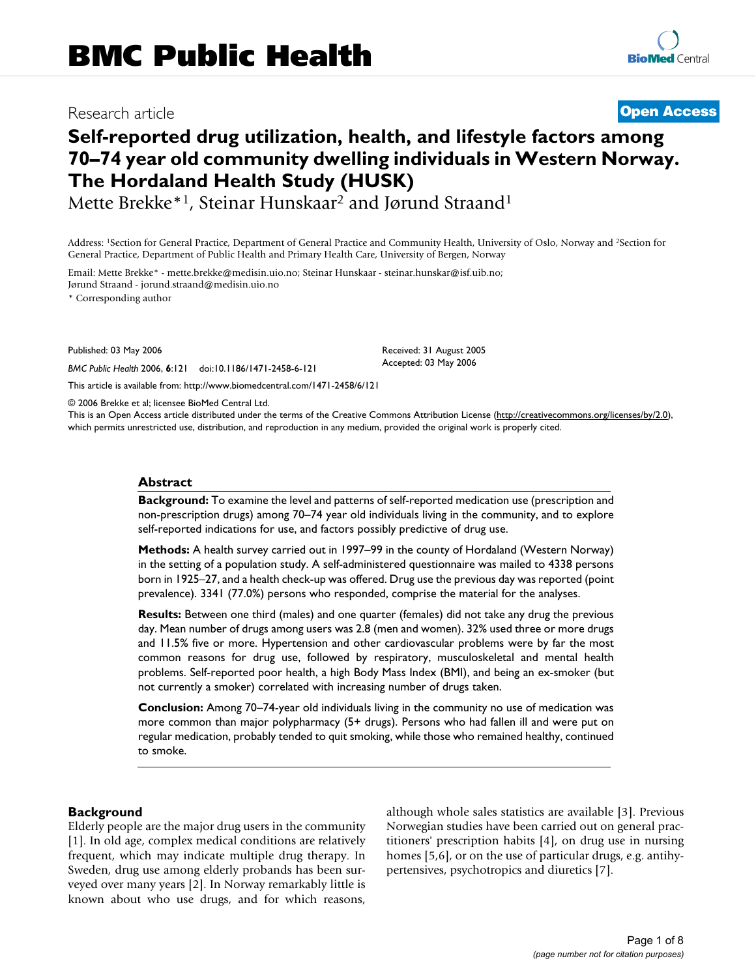# Research article **[Open Access](http://www.biomedcentral.com/info/about/charter/)**

# **Self-reported drug utilization, health, and lifestyle factors among 70–74 year old community dwelling individuals in Western Norway. The Hordaland Health Study (HUSK)**

Mette Brekke\*1, Steinar Hunskaar2 and Jørund Straand1

Address: 1Section for General Practice, Department of General Practice and Community Health, University of Oslo, Norway and 2Section for General Practice, Department of Public Health and Primary Health Care, University of Bergen, Norway

Email: Mette Brekke\* - mette.brekke@medisin.uio.no; Steinar Hunskaar - steinar.hunskar@isf.uib.no; Jørund Straand - jorund.straand@medisin.uio.no

\* Corresponding author

Published: 03 May 2006

*BMC Public Health* 2006, **6**:121 doi:10.1186/1471-2458-6-121

[This article is available from: http://www.biomedcentral.com/1471-2458/6/121](http://www.biomedcentral.com/1471-2458/6/121)

© 2006 Brekke et al; licensee BioMed Central Ltd.

This is an Open Access article distributed under the terms of the Creative Commons Attribution License [\(http://creativecommons.org/licenses/by/2.0\)](http://creativecommons.org/licenses/by/2.0), which permits unrestricted use, distribution, and reproduction in any medium, provided the original work is properly cited.

Received: 31 August 2005 Accepted: 03 May 2006

# **Abstract**

**Background:** To examine the level and patterns of self-reported medication use (prescription and non-prescription drugs) among 70–74 year old individuals living in the community, and to explore self-reported indications for use, and factors possibly predictive of drug use.

**Methods:** A health survey carried out in 1997–99 in the county of Hordaland (Western Norway) in the setting of a population study. A self-administered questionnaire was mailed to 4338 persons born in 1925–27, and a health check-up was offered. Drug use the previous day was reported (point prevalence). 3341 (77.0%) persons who responded, comprise the material for the analyses.

**Results:** Between one third (males) and one quarter (females) did not take any drug the previous day. Mean number of drugs among users was 2.8 (men and women). 32% used three or more drugs and 11.5% five or more. Hypertension and other cardiovascular problems were by far the most common reasons for drug use, followed by respiratory, musculoskeletal and mental health problems. Self-reported poor health, a high Body Mass Index (BMI), and being an ex-smoker (but not currently a smoker) correlated with increasing number of drugs taken.

**Conclusion:** Among 70–74-year old individuals living in the community no use of medication was more common than major polypharmacy (5+ drugs). Persons who had fallen ill and were put on regular medication, probably tended to quit smoking, while those who remained healthy, continued to smoke.

# **Background**

Elderly people are the major drug users in the community [1]. In old age, complex medical conditions are relatively frequent, which may indicate multiple drug therapy. In Sweden, drug use among elderly probands has been surveyed over many years [2]. In Norway remarkably little is known about who use drugs, and for which reasons,

although whole sales statistics are available [3]. Previous Norwegian studies have been carried out on general practitioners' prescription habits [4], on drug use in nursing homes [5,6], or on the use of particular drugs, e.g. antihypertensives, psychotropics and diuretics [7].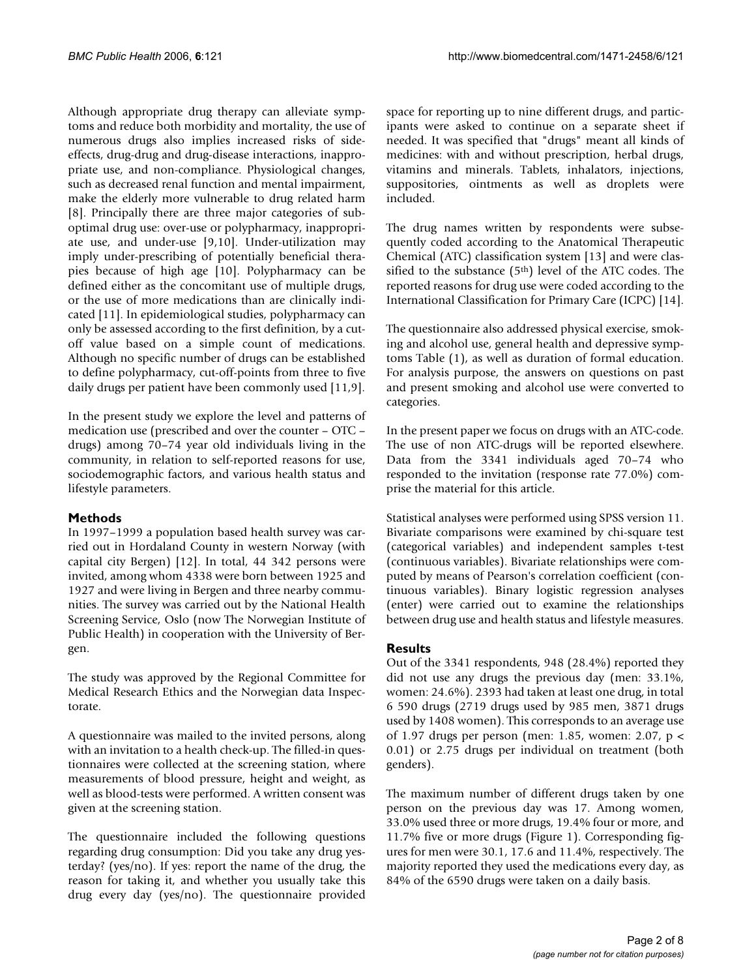Although appropriate drug therapy can alleviate symptoms and reduce both morbidity and mortality, the use of numerous drugs also implies increased risks of sideeffects, drug-drug and drug-disease interactions, inappropriate use, and non-compliance. Physiological changes, such as decreased renal function and mental impairment, make the elderly more vulnerable to drug related harm [8]. Principally there are three major categories of suboptimal drug use: over-use or polypharmacy, inappropriate use, and under-use [9,10]. Under-utilization may imply under-prescribing of potentially beneficial therapies because of high age [10]. Polypharmacy can be defined either as the concomitant use of multiple drugs, or the use of more medications than are clinically indicated [11]. In epidemiological studies, polypharmacy can only be assessed according to the first definition, by a cutoff value based on a simple count of medications. Although no specific number of drugs can be established to define polypharmacy, cut-off-points from three to five daily drugs per patient have been commonly used [11,9].

In the present study we explore the level and patterns of medication use (prescribed and over the counter – OTC – drugs) among 70–74 year old individuals living in the community, in relation to self-reported reasons for use, sociodemographic factors, and various health status and lifestyle parameters.

# **Methods**

In 1997–1999 a population based health survey was carried out in Hordaland County in western Norway (with capital city Bergen) [12]. In total, 44 342 persons were invited, among whom 4338 were born between 1925 and 1927 and were living in Bergen and three nearby communities. The survey was carried out by the National Health Screening Service, Oslo (now The Norwegian Institute of Public Health) in cooperation with the University of Bergen.

The study was approved by the Regional Committee for Medical Research Ethics and the Norwegian data Inspectorate.

A questionnaire was mailed to the invited persons, along with an invitation to a health check-up. The filled-in questionnaires were collected at the screening station, where measurements of blood pressure, height and weight, as well as blood-tests were performed. A written consent was given at the screening station.

The questionnaire included the following questions regarding drug consumption: Did you take any drug yesterday? (yes/no). If yes: report the name of the drug, the reason for taking it, and whether you usually take this drug every day (yes/no). The questionnaire provided

space for reporting up to nine different drugs, and participants were asked to continue on a separate sheet if needed. It was specified that "drugs" meant all kinds of medicines: with and without prescription, herbal drugs, vitamins and minerals. Tablets, inhalators, injections, suppositories, ointments as well as droplets were included.

The drug names written by respondents were subsequently coded according to the Anatomical Therapeutic Chemical (ATC) classification system [13] and were classified to the substance (5<sup>th</sup>) level of the ATC codes. The reported reasons for drug use were coded according to the International Classification for Primary Care (ICPC) [14].

The questionnaire also addressed physical exercise, smoking and alcohol use, general health and depressive symptoms Table (1), as well as duration of formal education. For analysis purpose, the answers on questions on past and present smoking and alcohol use were converted to categories.

In the present paper we focus on drugs with an ATC-code. The use of non ATC-drugs will be reported elsewhere. Data from the 3341 individuals aged 70–74 who responded to the invitation (response rate 77.0%) comprise the material for this article.

Statistical analyses were performed using SPSS version 11. Bivariate comparisons were examined by chi-square test (categorical variables) and independent samples t-test (continuous variables). Bivariate relationships were computed by means of Pearson's correlation coefficient (continuous variables). Binary logistic regression analyses (enter) were carried out to examine the relationships between drug use and health status and lifestyle measures.

# **Results**

Out of the 3341 respondents, 948 (28.4%) reported they did not use any drugs the previous day (men: 33.1%, women: 24.6%). 2393 had taken at least one drug, in total 6 590 drugs (2719 drugs used by 985 men, 3871 drugs used by 1408 women). This corresponds to an average use of 1.97 drugs per person (men: 1.85, women: 2.07, p < 0.01) or 2.75 drugs per individual on treatment (both genders).

The maximum number of different drugs taken by one person on the previous day was 17. Among women, 33.0% used three or more drugs, 19.4% four or more, and 11.7% five or more drugs (Figure 1). Corresponding figures for men were 30.1, 17.6 and 11.4%, respectively. The majority reported they used the medications every day, as 84% of the 6590 drugs were taken on a daily basis.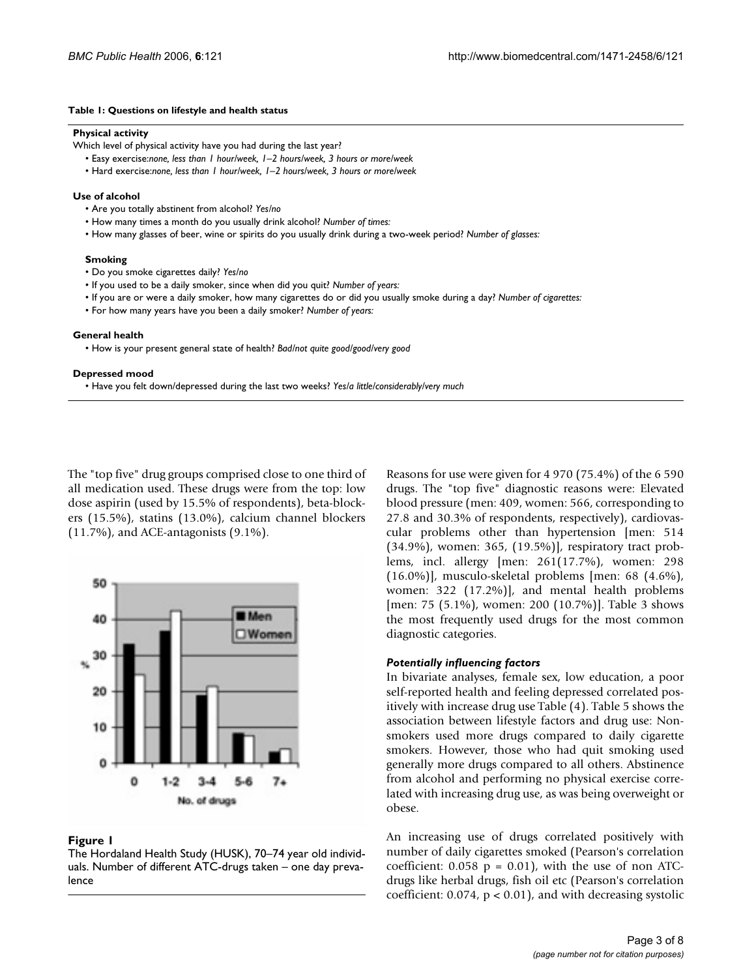#### **Table 1: Questions on lifestyle and health status**

#### **Physical activity**

Which level of physical activity have you had during the last year?

- Easy exercise:*none, less than 1 hour/week, 1–2 hours/week, 3 hours or more/week*
- Hard exercise:*none, less than 1 hour/week, 1–2 hours/week, 3 hours or more/week*

#### **Use of alcohol**

- Are you totally abstinent from alcohol? *Yes/no*
- How many times a month do you usually drink alcohol? *Number of times:*
- How many glasses of beer, wine or spirits do you usually drink during a two-week period? *Number of glasses:*

#### **Smoking**

- Do you smoke cigarettes daily? *Yes/no*
- If you used to be a daily smoker, since when did you quit? *Number of years:*
- If you are or were a daily smoker, how many cigarettes do or did you usually smoke during a day? *Number of cigarettes:*
- For how many years have you been a daily smoker? *Number of years:*

#### **General health**

• How is your present general state of health? *Bad/not quite good/good/very good*

#### **Depressed mood**

• Have you felt down/depressed during the last two weeks? *Yes/a little/considerably/very much*

The "top five" drug groups comprised close to one third of all medication used. These drugs were from the top: low dose aspirin (used by 15.5% of respondents), beta-blockers (15.5%), statins (13.0%), calcium channel blockers (11.7%), and ACE-antagonists (9.1%).



#### **Figure 1**

The Hordaland Health Study (HUSK), 70–74 year old individuals. Number of different ATC-drugs taken – one day prevalence

Reasons for use were given for 4 970 (75.4%) of the 6 590 drugs. The "top five" diagnostic reasons were: Elevated blood pressure (men: 409, women: 566, corresponding to 27.8 and 30.3% of respondents, respectively), cardiovascular problems other than hypertension [men: 514 (34.9%), women: 365, (19.5%)], respiratory tract problems, incl. allergy [men: 261(17.7%), women: 298 (16.0%)], musculo-skeletal problems [men: 68 (4.6%), women: 322 (17.2%)], and mental health problems [men: 75 (5.1%), women: 200 (10.7%)]. Table 3 shows the most frequently used drugs for the most common diagnostic categories.

# *Potentially influencing factors*

In bivariate analyses, female sex, low education, a poor self-reported health and feeling depressed correlated positively with increase drug use Table (4). Table 5 shows the association between lifestyle factors and drug use: Nonsmokers used more drugs compared to daily cigarette smokers. However, those who had quit smoking used generally more drugs compared to all others. Abstinence from alcohol and performing no physical exercise correlated with increasing drug use, as was being overweight or obese.

An increasing use of drugs correlated positively with number of daily cigarettes smoked (Pearson's correlation coefficient:  $0.058$  p = 0.01), with the use of non ATCdrugs like herbal drugs, fish oil etc (Pearson's correlation coefficient: 0.074, p < 0.01), and with decreasing systolic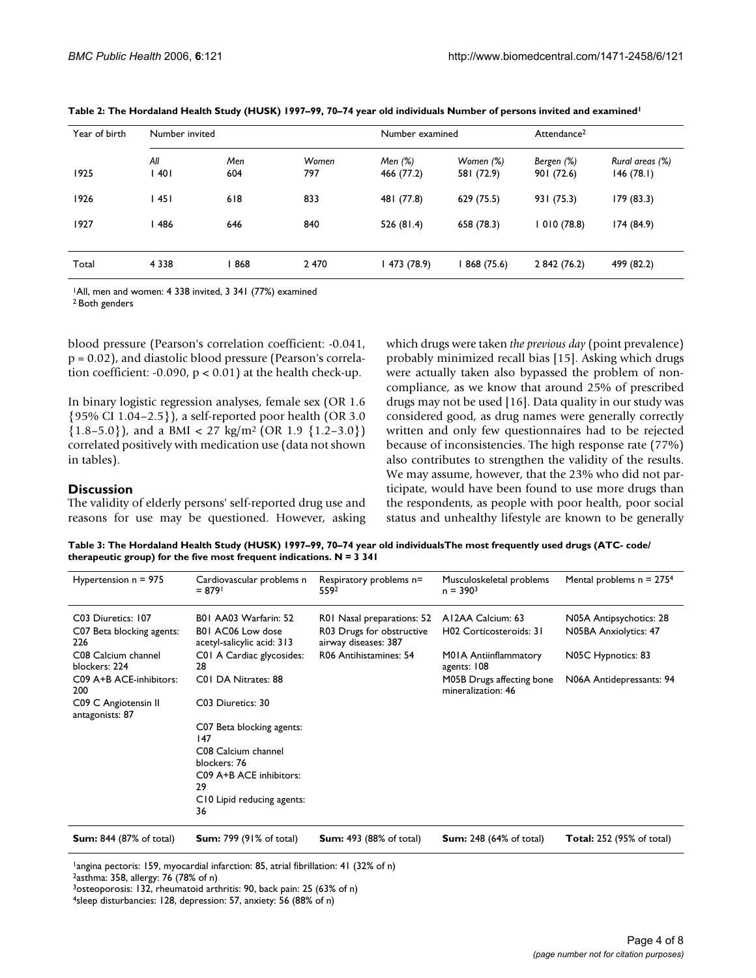| Year of birth | Number invited |            |              | Number examined         |                         | Attendance <sup>2</sup>  |                              |
|---------------|----------------|------------|--------------|-------------------------|-------------------------|--------------------------|------------------------------|
| 1925          | All<br>l 40 l  | Men<br>604 | Women<br>797 | Men $(%)$<br>466 (77.2) | Women (%)<br>581 (72.9) | Bergen (%)<br>901 (72.6) | Rural areas (%)<br>146(78.1) |
| 1926          | 45             | 618        | 833          | 481 (77.8)              | 629 (75.5)              | 931 (75.3)               | 179 (83.3)                   |
| 1927          | 486            | 646        | 840          | 526(81.4)               | 658 (78.3)              | 1010(78.8)               | 174 (84.9)                   |
| Total         | 4 3 3 8        | 868        | 2470         | 473 (78.9)              | 868 (75.6)              | 2 842 (76.2)             | 499 (82.2)                   |

**Table 2: The Hordaland Health Study (HUSK) 1997–99, 70–74 year old individuals Number of persons invited and examined1**

1All, men and women: 4 338 invited, 3 341 (77%) examined

2 Both genders

blood pressure (Pearson's correlation coefficient: -0.041, p = 0.02), and diastolic blood pressure (Pearson's correlation coefficient: -0.090,  $p < 0.01$ ) at the health check-up.

In binary logistic regression analyses, female sex (OR 1.6 {95% CI 1.04–2.5}), a self-reported poor health (OR 3.0  ${1.8-5.0}$ , and a BMI < 27 kg/m<sup>2</sup> (OR 1.9 {1.2-3.0}) correlated positively with medication use (data not shown in tables).

# **Discussion**

The validity of elderly persons' self-reported drug use and reasons for use may be questioned. However, asking which drugs were taken *the previous day* (point prevalence) probably minimized recall bias [15]. Asking which drugs were actually taken also bypassed the problem of noncompliance, as we know that around 25% of prescribed drugs may not be used [16]. Data quality in our study was considered good, as drug names were generally correctly written and only few questionnaires had to be rejected because of inconsistencies. The high response rate (77%) also contributes to strengthen the validity of the results. We may assume, however, that the 23% who did not participate, would have been found to use more drugs than the respondents, as people with poor health, poor social status and unhealthy lifestyle are known to be generally

**Table 3: The Hordaland Health Study (HUSK) 1997–99, 70–74 year old individualsThe most frequently used drugs (ATC- code/ therapeutic group) for the five most frequent indications. N = 3 341**

| Hypertension $n = 975$                                 | Cardiovascular problems n<br>$= 8791$                                    | Respiratory problems n=<br>5592                                                 | Musculoskeletal problems<br>$n = 3903$          | Mental problems $n = 2754$                       |
|--------------------------------------------------------|--------------------------------------------------------------------------|---------------------------------------------------------------------------------|-------------------------------------------------|--------------------------------------------------|
| C03 Diuretics: 107<br>C07 Beta blocking agents:<br>226 | B01 AA03 Warfarin: 52<br>B01 AC06 Low dose<br>acetyl-salicylic acid: 313 | R01 Nasal preparations: 52<br>R03 Drugs for obstructive<br>airway diseases: 387 | A12AA Calcium: 63<br>H02 Corticosteroids: 31    | N05A Antipsychotics: 28<br>N05BA Anxiolytics: 47 |
| C08 Calcium channel<br>blockers: 224                   | C01 A Cardiac glycosides:<br>28                                          | R06 Antihistamines: 54                                                          | M01A Antiinflammatory<br>agents: 108            | N05C Hypnotics: 83                               |
| C09 A+B ACE-inhibitors:<br>200                         | C01 DA Nitrates: 88                                                      |                                                                                 | M05B Drugs affecting bone<br>mineralization: 46 | N06A Antidepressants: 94                         |
| C09 C Angiotensin II<br>antagonists: 87                | C03 Diuretics: 30                                                        |                                                                                 |                                                 |                                                  |
|                                                        | C07 Beta blocking agents:<br>147                                         |                                                                                 |                                                 |                                                  |
|                                                        | C08 Calcium channel<br>blockers: 76                                      |                                                                                 |                                                 |                                                  |
|                                                        | C09 A+B ACE inhibitors:<br>29                                            |                                                                                 |                                                 |                                                  |
|                                                        | C10 Lipid reducing agents:<br>36                                         |                                                                                 |                                                 |                                                  |
| <b>Sum:</b> 844 (87% of total)                         | <b>Sum:</b> 799 (91% of total)                                           | <b>Sum:</b> 493 (88% of total)                                                  | <b>Sum:</b> 248 (64% of total)                  | <b>Total:</b> 252 (95% of total)                 |

<sup>1</sup>angina pectoris: 159, myocardial infarction: 85, atrial fibrillation: 41 (32% of n) 2asthma: 358, allergy: 76 (78% of n)

<sup>3</sup>osteoporosis: 132, rheumatoid arthritis: 90, back pain: 25 (63% of n)

<sup>4</sup>sleep disturbancies: 128, depression: 57, anxiety: 56 (88% of n)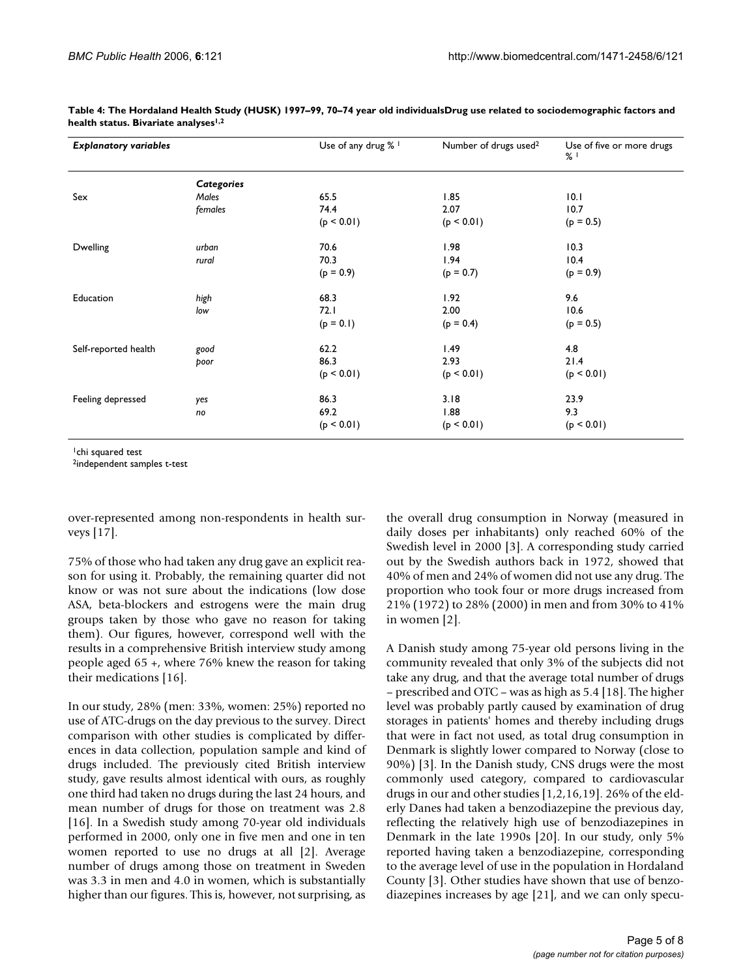| <b>Explanatory variables</b> |            | Use of any drug % 1 | Number of drugs used <sup>2</sup> | Use of five or more drugs<br>$%$ $\frac{1}{2}$ |  |
|------------------------------|------------|---------------------|-----------------------------------|------------------------------------------------|--|
|                              | Categories |                     |                                   |                                                |  |
| Sex                          | Males      | 65.5                | 1.85                              | 10.1                                           |  |
|                              | females    | 74.4                | 2.07                              | 10.7                                           |  |
|                              |            | (p < 0.01)          | (p < 0.01)                        | $(p = 0.5)$                                    |  |
| Dwelling                     | urban      | 70.6                | 1.98                              | 10.3                                           |  |
|                              | rural      | 70.3                | 1.94                              | 10.4                                           |  |
|                              |            | $(p = 0.9)$         | $(p = 0.7)$                       | $(p = 0.9)$                                    |  |
| Education                    | high       | 68.3                | 1.92                              | 9.6                                            |  |
|                              | low        | 72.1                | 2.00                              | 10.6                                           |  |
|                              |            | $(p = 0.1)$         | $(p = 0.4)$                       | $(p = 0.5)$                                    |  |
| Self-reported health         | good       | 62.2                | 1.49                              | 4.8                                            |  |
|                              | poor       | 86.3                | 2.93                              | 21.4                                           |  |
|                              |            | (p < 0.01)          | (p < 0.01)                        | (p < 0.01)                                     |  |
| Feeling depressed            | yes        | 86.3                | 3.18                              | 23.9                                           |  |
|                              | no         | 69.2                | 1.88                              | 9.3                                            |  |
|                              |            | (p < 0.01)          | (p < 0.01)                        | (p < 0.01)                                     |  |

**Table 4: The Hordaland Health Study (HUSK) 1997–99, 70–74 year old individualsDrug use related to sociodemographic factors and health status. Bivariate analyses1,2**

<sup>1</sup>chi squared test

2independent samples t-test

over-represented among non-respondents in health surveys [17].

75% of those who had taken any drug gave an explicit reason for using it. Probably, the remaining quarter did not know or was not sure about the indications (low dose ASA, beta-blockers and estrogens were the main drug groups taken by those who gave no reason for taking them). Our figures, however, correspond well with the results in a comprehensive British interview study among people aged 65 +, where 76% knew the reason for taking their medications [16].

In our study, 28% (men: 33%, women: 25%) reported no use of ATC-drugs on the day previous to the survey. Direct comparison with other studies is complicated by differences in data collection, population sample and kind of drugs included. The previously cited British interview study, gave results almost identical with ours, as roughly one third had taken no drugs during the last 24 hours, and mean number of drugs for those on treatment was 2.8 [16]. In a Swedish study among 70-year old individuals performed in 2000, only one in five men and one in ten women reported to use no drugs at all [2]. Average number of drugs among those on treatment in Sweden was 3.3 in men and 4.0 in women, which is substantially higher than our figures. This is, however, not surprising, as

the overall drug consumption in Norway (measured in daily doses per inhabitants) only reached 60% of the Swedish level in 2000 [3]. A corresponding study carried out by the Swedish authors back in 1972, showed that 40% of men and 24% of women did not use any drug. The proportion who took four or more drugs increased from 21% (1972) to 28% (2000) in men and from 30% to 41% in women [2].

A Danish study among 75-year old persons living in the community revealed that only 3% of the subjects did not take any drug, and that the average total number of drugs – prescribed and OTC – was as high as 5.4 [18]. The higher level was probably partly caused by examination of drug storages in patients' homes and thereby including drugs that were in fact not used, as total drug consumption in Denmark is slightly lower compared to Norway (close to 90%) [3]. In the Danish study, CNS drugs were the most commonly used category, compared to cardiovascular drugs in our and other studies [1,2,16,19]. 26% of the elderly Danes had taken a benzodiazepine the previous day, reflecting the relatively high use of benzodiazepines in Denmark in the late 1990s [20]. In our study, only 5% reported having taken a benzodiazepine, corresponding to the average level of use in the population in Hordaland County [3]. Other studies have shown that use of benzodiazepines increases by age [21], and we can only specu-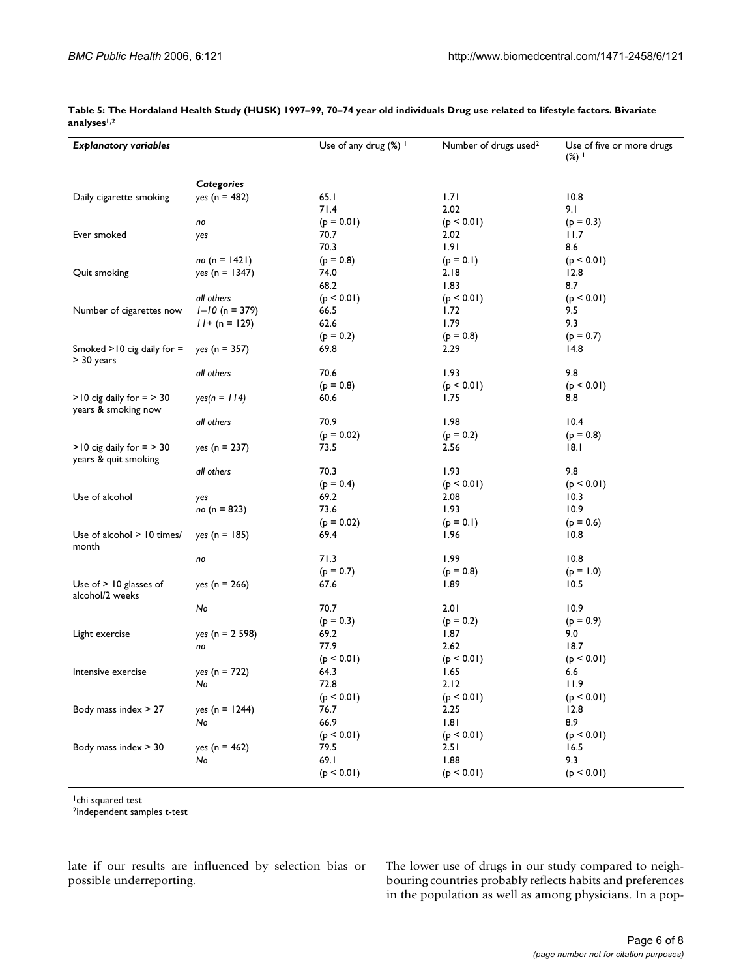| <b>Explanatory variables</b>                           |                    | Use of any drug $(\%)$ | Number of drugs used <sup>2</sup> | Use of five or more drugs<br>(%) $\mathsf{I}$ |
|--------------------------------------------------------|--------------------|------------------------|-----------------------------------|-----------------------------------------------|
|                                                        | <b>Categories</b>  |                        |                                   |                                               |
| Daily cigarette smoking                                | $yes (n = 482)$    | 65.1                   | 1.71                              | 10.8                                          |
|                                                        |                    | 71.4                   | 2.02                              | 9.1                                           |
|                                                        | no                 | $(p = 0.01)$           | (p < 0.01)                        | $(p = 0.3)$                                   |
| Ever smoked                                            | yes                | 70.7                   | 2.02                              | 11.7                                          |
|                                                        |                    | 70.3                   | 1.91                              | 8.6                                           |
|                                                        | no (n = $1421$ )   | $(p = 0.8)$            | $(p = 0.1)$                       | (p < 0.01)                                    |
| Quit smoking                                           | $yes (n = 1347)$   | 74.0                   | 2.18                              | 12.8                                          |
|                                                        |                    | 68.2                   | 1.83                              | 8.7                                           |
|                                                        | all others         | (p < 0.01)             | (p < 0.01)                        | (p < 0.01)                                    |
| Number of cigarettes now                               | $I - I0$ (n = 379) | 66.5                   | 1.72                              | 9.5                                           |
|                                                        | $11 + (n = 129)$   | 62.6                   | 1.79                              | 9.3                                           |
|                                                        |                    | $(p = 0.2)$            | $(p = 0.8)$                       | $(p = 0.7)$                                   |
| Smoked $>10$ cig daily for $=$<br>> 30 years           | $yes (n = 357)$    | 69.8                   | 2.29                              | 14.8                                          |
|                                                        | all others         | 70.6                   | 1.93                              | 9.8                                           |
|                                                        |                    | $(p = 0.8)$            | (p < 0.01)                        | (p < 0.01)                                    |
| $>10$ cig daily for $=$ $> 30$<br>years & smoking now  | $yes(n = 114)$     | 60.6                   | 1.75                              | 8.8                                           |
|                                                        | all others         | 70.9                   | 1.98                              | 10.4                                          |
|                                                        |                    | $(p = 0.02)$           | $(p = 0.2)$                       | $(p = 0.8)$                                   |
| $>10$ cig daily for $=$ $> 30$<br>years & quit smoking | $yes (n = 237)$    | 73.5                   | 2.56                              | 8.1                                           |
|                                                        | all others         | 70.3                   | 1.93                              | 9.8                                           |
|                                                        |                    | $(p = 0.4)$            | (p < 0.01)                        | (p < 0.01)                                    |
| Use of alcohol                                         | yes                | 69.2                   | 2.08                              | 10.3                                          |
|                                                        | no (n = 823)       | 73.6                   | 1.93                              | 10.9                                          |
|                                                        |                    | $(p = 0.02)$           | $(p = 0.1)$                       | $(p = 0.6)$                                   |
| Use of alcohol > 10 times/<br>month                    | $yes (n = 185)$    | 69.4                   | 1.96                              | 10.8                                          |
|                                                        | no                 | 71.3                   | 1.99                              | 10.8                                          |
|                                                        |                    | $(p = 0.7)$            | $(p = 0.8)$                       | $(p = 1.0)$                                   |
| Use of $>$ 10 glasses of<br>alcohol/2 weeks            | $yes (n = 266)$    | 67.6                   | 1.89                              | 10.5                                          |
|                                                        | No                 | 70.7                   | 2.01                              | 10.9                                          |
|                                                        |                    | $(p = 0.3)$            | $(p = 0.2)$                       | $(p = 0.9)$                                   |
| Light exercise                                         | $yes (n = 2 598)$  | 69.2                   | 1.87                              | 9.0                                           |
|                                                        | no                 | 77.9                   | 2.62                              | 18.7                                          |
|                                                        |                    | (p < 0.01)             | (p < 0.01)                        | (p < 0.01)                                    |
| Intensive exercise                                     | $yes (n = 722)$    | 64.3                   | 1.65                              | 6.6                                           |
|                                                        | No                 | 72.8                   | 2.12                              | 11.9                                          |
|                                                        |                    | (p < 0.01)             | (p < 0.01)                        | (p < 0.01)                                    |
| Body mass index $> 27$                                 | $yes (n = 1244)$   | 76.7                   | 2.25                              | 12.8                                          |
|                                                        | No                 | 66.9                   | 1.81                              | 8.9                                           |
|                                                        |                    | (p < 0.01)             | (p < 0.01)                        | (p < 0.01)                                    |
| Body mass index $>$ 30                                 | $yes (n = 462)$    | 79.5                   | 2.51                              | 16.5                                          |
|                                                        | No                 | 69.I                   | 1.88                              | 9.3                                           |
|                                                        |                    | (p < 0.01)             | (p < 0.01)                        | (p < 0.01)                                    |

**Table 5: The Hordaland Health Study (HUSK) 1997–99, 70–74 year old individuals Drug use related to lifestyle factors. Bivariate analyses1,2**

<sup>1</sup>chi squared test

2independent samples t-test

late if our results are influenced by selection bias or possible underreporting.

The lower use of drugs in our study compared to neighbouring countries probably reflects habits and preferences in the population as well as among physicians. In a pop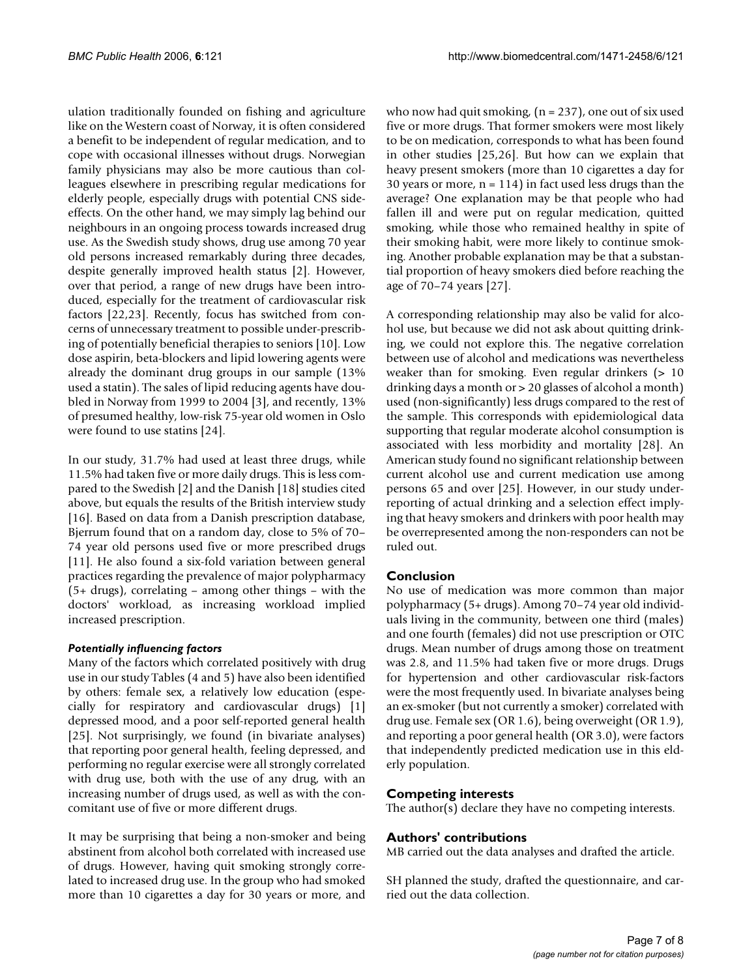ulation traditionally founded on fishing and agriculture like on the Western coast of Norway, it is often considered a benefit to be independent of regular medication, and to cope with occasional illnesses without drugs. Norwegian family physicians may also be more cautious than colleagues elsewhere in prescribing regular medications for elderly people, especially drugs with potential CNS sideeffects. On the other hand, we may simply lag behind our neighbours in an ongoing process towards increased drug use. As the Swedish study shows, drug use among 70 year old persons increased remarkably during three decades, despite generally improved health status [2]. However, over that period, a range of new drugs have been introduced, especially for the treatment of cardiovascular risk factors [22,23]. Recently, focus has switched from concerns of unnecessary treatment to possible under-prescribing of potentially beneficial therapies to seniors [10]. Low dose aspirin, beta-blockers and lipid lowering agents were already the dominant drug groups in our sample (13% used a statin). The sales of lipid reducing agents have doubled in Norway from 1999 to 2004 [3], and recently, 13% of presumed healthy, low-risk 75-year old women in Oslo were found to use statins [24].

In our study, 31.7% had used at least three drugs, while 11.5% had taken five or more daily drugs. This is less compared to the Swedish [2] and the Danish [18] studies cited above, but equals the results of the British interview study [16]. Based on data from a Danish prescription database, Bjerrum found that on a random day, close to 5% of 70– 74 year old persons used five or more prescribed drugs [11]. He also found a six-fold variation between general practices regarding the prevalence of major polypharmacy (5+ drugs), correlating – among other things – with the doctors' workload, as increasing workload implied increased prescription.

# *Potentially influencing factors*

Many of the factors which correlated positively with drug use in our study Tables (4 and 5) have also been identified by others: female sex, a relatively low education (especially for respiratory and cardiovascular drugs) [1] depressed mood, and a poor self-reported general health [25]. Not surprisingly, we found (in bivariate analyses) that reporting poor general health, feeling depressed, and performing no regular exercise were all strongly correlated with drug use, both with the use of any drug, with an increasing number of drugs used, as well as with the concomitant use of five or more different drugs.

It may be surprising that being a non-smoker and being abstinent from alcohol both correlated with increased use of drugs. However, having quit smoking strongly correlated to increased drug use. In the group who had smoked more than 10 cigarettes a day for 30 years or more, and

who now had quit smoking,  $(n = 237)$ , one out of six used five or more drugs. That former smokers were most likely to be on medication, corresponds to what has been found in other studies [25,26]. But how can we explain that heavy present smokers (more than 10 cigarettes a day for 30 years or more,  $n = 114$ ) in fact used less drugs than the average? One explanation may be that people who had fallen ill and were put on regular medication, quitted smoking, while those who remained healthy in spite of their smoking habit, were more likely to continue smoking. Another probable explanation may be that a substantial proportion of heavy smokers died before reaching the age of 70–74 years [27].

A corresponding relationship may also be valid for alcohol use, but because we did not ask about quitting drinking, we could not explore this. The negative correlation between use of alcohol and medications was nevertheless weaker than for smoking. Even regular drinkers (> 10 drinking days a month or > 20 glasses of alcohol a month) used (non-significantly) less drugs compared to the rest of the sample. This corresponds with epidemiological data supporting that regular moderate alcohol consumption is associated with less morbidity and mortality [28]. An American study found no significant relationship between current alcohol use and current medication use among persons 65 and over [25]. However, in our study underreporting of actual drinking and a selection effect implying that heavy smokers and drinkers with poor health may be overrepresented among the non-responders can not be ruled out.

# **Conclusion**

No use of medication was more common than major polypharmacy (5+ drugs). Among 70–74 year old individuals living in the community, between one third (males) and one fourth (females) did not use prescription or OTC drugs. Mean number of drugs among those on treatment was 2.8, and 11.5% had taken five or more drugs. Drugs for hypertension and other cardiovascular risk-factors were the most frequently used. In bivariate analyses being an ex-smoker (but not currently a smoker) correlated with drug use. Female sex (OR 1.6), being overweight (OR 1.9), and reporting a poor general health (OR 3.0), were factors that independently predicted medication use in this elderly population.

# **Competing interests**

The author(s) declare they have no competing interests.

# **Authors' contributions**

MB carried out the data analyses and drafted the article.

SH planned the study, drafted the questionnaire, and carried out the data collection.